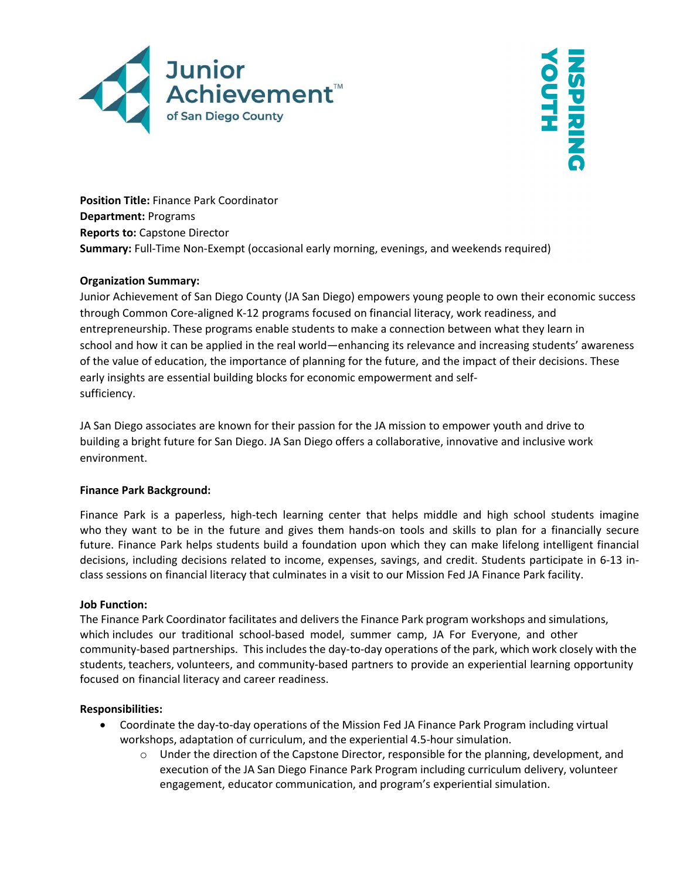



Position Title: Finance Park Coordinator Department: Programs Reports to: Capstone Director Summary: Full-Time Non-Exempt (occasional early morning, evenings, and weekends required)

## Organization Summary:

Junior Achievement of San Diego County (JA San Diego) empowers young people to own their economic success through Common Core-aligned K-12 programs focused on financial literacy, work readiness, and entrepreneurship. These programs enable students to make a connection between what they learn in school and how it can be applied in the real world—enhancing its relevance and increasing students' awareness of the value of education, the importance of planning for the future, and the impact of their decisions. These early insights are essential building blocks for economic empowerment and selfsufficiency.

JA San Diego associates are known for their passion for the JA mission to empower youth and drive to building a bright future for San Diego. JA San Diego offers a collaborative, innovative and inclusive work environment.

## Finance Park Background:

Finance Park is a paperless, high-tech learning center that helps middle and high school students imagine who they want to be in the future and gives them hands-on tools and skills to plan for a financially secure future. Finance Park helps students build a foundation upon which they can make lifelong intelligent financial decisions, including decisions related to income, expenses, savings, and credit. Students participate in 6-13 inclass sessions on financial literacy that culminates in a visit to our Mission Fed JA Finance Park facility.

## Job Function:

The Finance Park Coordinator facilitates and delivers the Finance Park program workshops and simulations, which includes our traditional school-based model, summer camp, JA For Everyone, and other community-based partnerships. This includes the day-to-day operations of the park, which work closely with the students, teachers, volunteers, and community-based partners to provide an experiential learning opportunity focused on financial literacy and career readiness.

## Responsibilities:

- Coordinate the day-to-day operations of the Mission Fed JA Finance Park Program including virtual workshops, adaptation of curriculum, and the experiential 4.5-hour simulation.
	- $\circ$  Under the direction of the Capstone Director, responsible for the planning, development, and execution of the JA San Diego Finance Park Program including curriculum delivery, volunteer engagement, educator communication, and program's experiential simulation.